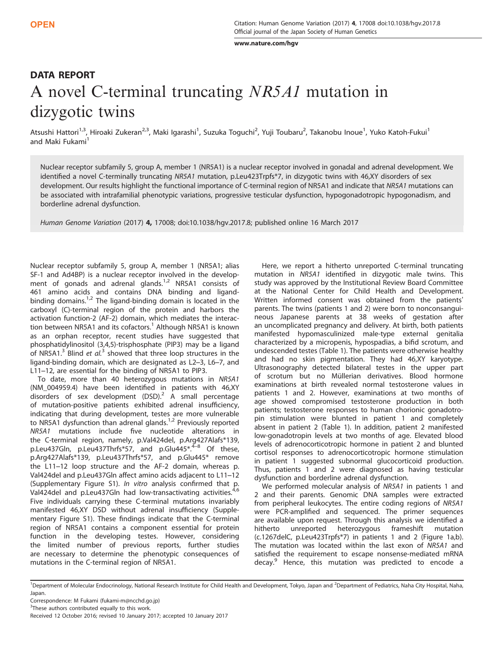www.nature.com/hov ww.nature.com/hgv

# DATA REPORT A novel C-terminal truncating NR5A1 mutation in dizygotic twins

Atsushi Hattori<sup>1,3</sup>, Hiroaki Zukeran<sup>2,3</sup>, Maki Igarashi<sup>1</sup>, Suzuka Toguchi<sup>2</sup>, Yuji Toubaru<sup>2</sup>, Takanobu Inoue<sup>1</sup>, Yuko Katoh-Fukui<sup>1</sup> and Maki Fukami<sup>1</sup>

Nuclear receptor subfamily 5, group A, member 1 (NR5A1) is a nuclear receptor involved in gonadal and adrenal development. We identified a novel C-terminally truncating NR5A1 mutation, p.Leu423Trpfs\*7, in dizygotic twins with 46,XY disorders of sex development. Our results highlight the functional importance of C-terminal region of NR5A1 and indicate that NR5A1 mutations can be associated with intrafamilial phenotypic variations, progressive testicular dysfunction, hypogonadotropic hypogonadism, and borderline adrenal dysfunction.

Human Genome Variation (2017) 4, 17008; doi:[10.1038/hgv.2017.8;](http://dx.doi.org/10.1038/hgv.2017.8) published online 16 March 2017

Nuclear receptor subfamily 5, group A, member 1 (NR5A1; alias SF-1 and Ad4BP) is a nuclear receptor involved in the development of gonads and adrenal glands. $1/2$  NR5A1 consists of 461 amino acids and contains DNA binding and ligandbinding domains.<sup>1,2</sup> The ligand-binding domain is located in the carboxyl (C)-terminal region of the protein and harbors the activation function-2 (AF-2) domain, which mediates the interac-tion between NR5A[1](#page-2-0) and its cofactors.<sup>1</sup> Although NR5A1 is known as an orphan receptor, recent studies have suggested that phosphatidylinositol (3,4,5)-trisphosphate (PIP3) may be a ligand of NR5A1. $3$  Blind et al. $3$  showed that three loop structures in the ligand-binding domain, which are designated as L2–3, L6–7, and L11–12, are essential for the binding of NR5A1 to PIP3.

To date, more than 40 heterozygous mutations in NR5A1 (NM\_004959.4) have been identified in patients with 46,XY disorders of sex development  $(DSD)<sup>2</sup>$  $(DSD)<sup>2</sup>$  $(DSD)<sup>2</sup>$  A small percentage of mutation-positive patients exhibited adrenal insufficiency, indicating that during development, testes are more vulnerable to NR5A1 dysfunction than adrenal glands.<sup>1,2</sup> Previously reported NR5A1 mutations include five nucleotide alterations in the C-terminal region, namely, p.Val424del, p.Arg427Alafs\*139, p.Leu[4](#page-2-0)37Gln, p.Leu437Thrfs\*57, and p.Glu445\*.<sup>4-8</sup> Of these, p.Arg427Alafs\*139, p.Leu437Thrfs\*57, and p.Glu445\* remove the L11–12 loop structure and the AF-2 domain, whereas p. Val424del and p.Leu437Gln affect amino acids adjacent to L11–12 (Supplementary Figure S1). In vitro analysis confirmed that p. Val[4](#page-2-0)24del and p.Leu437Gln had low-transactivating activities.<sup>4,[6](#page-2-0)</sup> Five individuals carrying these C-terminal mutations invariably manifested 46,XY DSD without adrenal insufficiency (Supplementary Figure S1). These findings indicate that the C-terminal region of NR5A1 contains a component essential for protein function in the developing testes. However, considering the limited number of previous reports, further studies are necessary to determine the phenotypic consequences of mutations in the C-terminal region of NR5A1.

Here, we report a hitherto unreported C-terminal truncating mutation in NR5A1 identified in dizygotic male twins. This study was approved by the Institutional Review Board Committee at the National Center for Child Health and Development. Written informed consent was obtained from the patients' parents. The twins (patients 1 and 2) were born to nonconsanguineous Japanese parents at 38 weeks of gestation after an uncomplicated pregnancy and delivery. At birth, both patients manifested hypomasculinized male-type external genitalia characterized by a micropenis, hypospadias, a bifid scrotum, and undescended testes [\(Table 1](#page-1-0)). The patients were otherwise healthy and had no skin pigmentation. They had 46,XY karyotype. Ultrasonography detected bilateral testes in the upper part of scrotum but no Müllerian derivatives. Blood hormone examinations at birth revealed normal testosterone values in patients 1 and 2. However, examinations at two months of age showed compromised testosterone production in both patients; testosterone responses to human chorionic gonadotropin stimulation were blunted in patient 1 and completely absent in patient 2 ([Table 1\)](#page-1-0). In addition, patient 2 manifested low-gonadotropin levels at two months of age. Elevated blood levels of adrenocorticotropic hormone in patient 2 and blunted cortisol responses to adrenocorticotropic hormone stimulation in patient 1 suggested subnormal glucocorticoid production. Thus, patients 1 and 2 were diagnosed as having testicular dysfunction and borderline adrenal dysfunction.

We performed molecular analysis of NR5A1 in patients 1 and 2 and their parents. Genomic DNA samples were extracted from peripheral leukocytes. The entire coding regions of NR5A1 were PCR-amplified and sequenced. The primer sequences are available upon request. Through this analysis we identified a hitherto unreported heterozygous frameshift mutation (c.1267delC, p.Leu423Trpfs\*7) in patients 1 and 2 [\(Figure 1a,b\)](#page-1-0). The mutation was located within the last exon of NR5A1 and satisfied the requirement to escape nonsense-mediated mRNA decay.<sup>[9](#page-2-0)</sup> Hence, this mutation was predicted to encode a

<sup>&</sup>lt;sup>1</sup>Department of Molecular Endocrinology, National Research Institute for Child Health and Development, Tokyo, Japan and <sup>2</sup>Department of Pediatrics, Naha City Hospital, Naha, Japan.

Correspondence: M Fukami ([fukami-m@ncchd.go.jp\)](mailto:fukami-m@ncchd.go.jp)

<sup>&</sup>lt;sup>3</sup>These authors contributed equally to this work.

Received 12 October 2016; revised 10 January 2017; accepted 10 January 2017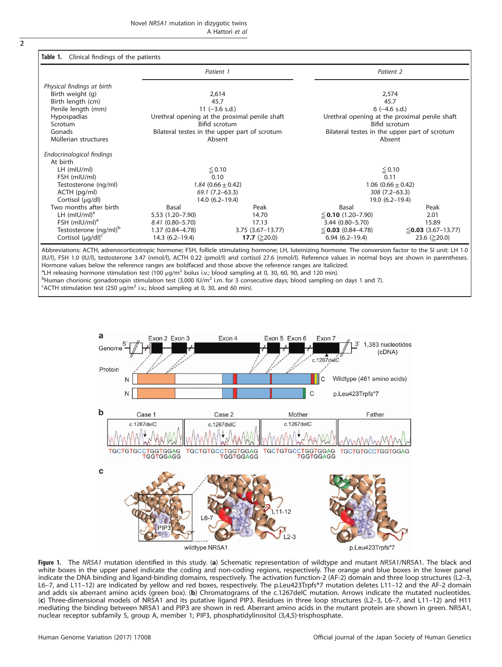<span id="page-1-0"></span>

| ٠      |
|--------|
|        |
| ł<br>I |
|        |
|        |

|                                   | Patient 1                                     |                         | Patient 2                                     |                          |
|-----------------------------------|-----------------------------------------------|-------------------------|-----------------------------------------------|--------------------------|
| Physical findings at birth        |                                               |                         |                                               |                          |
| Birth weight (g)                  | 2,614                                         |                         | 2,574                                         |                          |
| Birth length (cm)                 | 45.7                                          |                         | 45.7                                          |                          |
| Penile length (mm)                | $11 (-3.6 s.d.)$                              |                         | $6$ (-4.6 s.d.)                               |                          |
| <b>Hypospadias</b>                | Urethral opening at the proximal penile shaft |                         | Urethral opening at the proximal penile shaft |                          |
| Scrotum                           | Bifid scrotum                                 |                         | Bifid scrotum                                 |                          |
| Gonads                            | Bilateral testes in the upper part of scrotum |                         | Bilateral testes in the upper part of scrotum |                          |
| Müllerian structures              | Absent                                        |                         | Absent                                        |                          |
| Endocrinological findings         |                                               |                         |                                               |                          |
| At birth                          |                                               |                         |                                               |                          |
| $LH$ (mIU/mI)                     | $≤ 0.10$                                      |                         | $\leq$ 0.10                                   |                          |
| FSH (mIU/ml)                      | 0.10                                          |                         | 0.11                                          |                          |
| Testosterone (ng/ml)              | 1.84 $(0.66 \pm 0.42)$                        |                         | $1.06$ $(0.66 \pm 0.42)$                      |                          |
| ACTH (pg/ml)                      | $69.1(7.2-63.3)$                              |                         | 308 (7.2-63.3)                                |                          |
| Cortisol (µg/dl)                  | $14.0(6.2 - 19.4)$                            |                         | 19.0 (6.2-19.4)                               |                          |
| Two months after birth            | Basal                                         | Peak                    | Basal                                         | Peak                     |
| LH $(mIU/ml)^a$                   | 5.53 (1.20-7.90)                              | 14.70                   | $\leq$ 0.10 (1.20–7.90)                       | 2.01                     |
| FSH $(mIU/ml)^a$                  | 8.41 (0.80-5.70)                              | 17.13                   | $3.44(0.80 - 5.70)$                           | 15.89                    |
| Testosterone (ng/ml) <sup>b</sup> | 1.37 (0.84-4.78)                              | $3.75$ $(3.67 - 13.77)$ | $\leq$ 0.03 (0.84–4.78)                       | $\leq$ 0.03 (3.67–13.77) |
| Cortisol $(\mu q/d)$ <sup>c</sup> | $14.3(6.2-19.4)$                              | 17.7 $(≥20.0)$          | $6.94(6.2-19.4)$                              | 23.6 ( $\geq$ 20.0)      |

(IU/l), FSH 1.0 (IU/l), testosterone 3.47 (nmol/l), ACTH 0.22 (pmol/l) and cortisol 27.6 (nmol/l). Reference values in normal boys are shown in parentheses. Hormone values below the reference ranges are boldfaced and those above the reference ranges are italicized. <sup>a</sup>LH releasing hormone stimulation test (100  $\mu g/m^2$  bolus i.v.; blood sampling at 0, 30, 60, 90, and 120 min).<br><sup>b</sup>Human cherionic gonadatronin stimulation test (3,000 H/m<sup>2</sup> i.m. for 3 consecutive days; blood sampling  $^{\rm b}$ Human chorionic gonadotropin stimulation test (3,000 IU/m<sup>2</sup> i.m. for 3 consecutive days; blood sampling on days 1 and 7).

<sup>C</sup>ACTH stimulation test (250  $\mu$ g/m<sup>2</sup> i.v.; blood sampling at 0, 30, and 60 min).



Figure 1. The NR5A1 mutation identified in this study. (a) Schematic representation of wildtype and mutant NR5A1/NR5A1. The black and white boxes in the upper panel indicate the coding and non-coding regions, respectively. The orange and blue boxes in the lower panel indicate the DNA binding and ligand-binding domains, respectively. The activation function-2 (AF-2) domain and three loop structures (L2–3, L6–7, and L11–12) are indicated by yellow and red boxes, respectively. The p.Leu423Trpfs\*7 mutation deletes L11–12 and the AF-2 domain and adds six aberrant amino acids (green box). (b) Chromatograms of the c.1267delC mutation. Arrows indicate the mutated nucleotides. (c) Three-dimensional models of NR5A1 and its putative ligand PIP3. Residues in three loop structures (L2–3, L6–7, and L11–12) and H11 mediating the binding between NR5A1 and PIP3 are shown in red. Aberrant amino acids in the mutant protein are shown in green. NR5A1, nuclear receptor subfamily 5, group A, member 1; PIP3, phosphatidylinositol (3,4,5)-trisphosphate.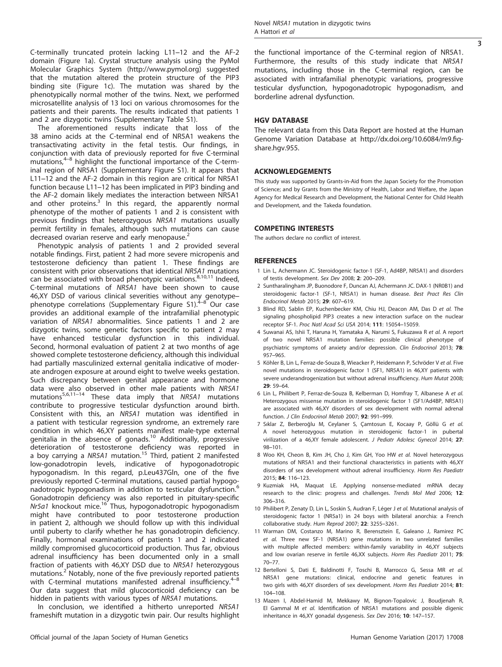<span id="page-2-0"></span>C-terminally truncated protein lacking L11–12 and the AF-2 domain ([Figure 1a\)](#page-1-0). Crystal structure analysis using the PyMol Molecular Graphics System [\(http://www.pymol.org](http://www.pymol.org)) suggested that the mutation altered the protein structure of the PIP3 binding site [\(Figure 1c\)](#page-1-0). The mutation was shared by the phenotypically normal mother of the twins. Next, we performed microsatellite analysis of 13 loci on various chromosomes for the patients and their parents. The results indicated that patients 1 and 2 are dizygotic twins (Supplementary Table S1).

The aforementioned results indicate that loss of the 38 amino acids at the C-terminal end of NR5A1 weakens the transactivating activity in the fetal testis. Our findings, in conjunction with data of previously reported for five C-terminal mutations,<sup>4–8</sup> highlight the functional importance of the C-terminal region of NR5A1 (Supplementary Figure S1). It appears that L11–12 and the AF-2 domain in this region are critical for NR5A1 function because L11–12 has been implicated in PIP3 binding and the AF-2 domain likely mediates the interaction between NR5A1 and other proteins. $3^5$  In this regard, the apparently normal phenotype of the mother of patients 1 and 2 is consistent with previous findings that heterozygous NR5A1 mutations usually permit fertility in females, although such mutations can cause decreased ovarian reserve and early menopause.<sup>2</sup>

Phenotypic analysis of patients 1 and 2 provided several notable findings. First, patient 2 had more severe micropenis and testosterone deficiency than patient 1. These findings are consistent with prior observations that identical NR5A1 mutations can be associated with broad phenotypic variations. $8,10,11$  Indeed, C-terminal mutations of NR5A1 have been shown to cause 46,XY DSD of various clinical severities without any genotype– phenotype correlations (Supplementary Figure S1). $4-8$  Our case provides an additional example of the intrafamilial phenotypic variation of NR5A1 abnormalities. Since patients 1 and 2 are dizygotic twins, some genetic factors specific to patient 2 may have enhanced testicular dysfunction in this individual. Second, hormonal evaluation of patient 2 at two months of age showed complete testosterone deficiency, although this individual had partially masculinized external genitalia indicative of moderate androgen exposure at around eight to twelve weeks gestation. Such discrepancy between genital appearance and hormone data were also observed in other male patients with NR5A1 mutations<sup>5,6,11–14</sup> These data imply that NR5A1 mutations contribute to progressive testicular dysfunction around birth. Consistent with this, an NR5A1 mutation was identified in a patient with testicular regression syndrome, an extremely rare condition in which 46,XY patients manifest male-type external genitalia in the absence of gonads.<sup>10</sup> Additionally, progressive deterioration of testosterone deficiency was reported in a boy carrying a NR5A1 mutation.<sup>[15](#page-3-0)</sup> Third, patient 2 manifested low-gonadotropin levels, indicative of hypogonadotropic hypogonadism. In this regard, p.Leu437Gln, one of the five previously reported C-terminal mutations, caused partial hypogonadotropic hypogonadism in addition to testicular dysfunction.<sup>6</sup> Gonadotropin deficiency was also reported in pituitary-specific Nr5a1 knockout mice.<sup>[16](#page-3-0)</sup> Thus, hypogonadotropic hypogonadism might have contributed to poor testosterone production in patient 2, although we should follow up with this individual until puberty to clarify whether he has gonadotropin deficiency. Finally, hormonal examinations of patients 1 and 2 indicated mildly compromised glucocorticoid production. Thus far, obvious adrenal insufficiency has been documented only in a small fraction of patients with 46,XY DSD due to NR5A1 heterozygous mutations.<sup>2</sup> Notably, none of the five previously reported patients with C-terminal mutations manifested adrenal insufficiency. $4-8$ Our data suggest that mild glucocorticoid deficiency can be hidden in patients with various types of NR5A1 mutations.

In conclusion, we identified a hitherto unreported NR5A1 frameshift mutation in a dizygotic twin pair. Our results highlight Novel NR5A1 mutation in dizygotic twins A Hattori et al

3

the functional importance of the C-terminal region of NR5A1. Furthermore, the results of this study indicate that NR5A1 mutations, including those in the C-terminal region, can be associated with intrafamilial phenotypic variations, progressive testicular dysfunction, hypogonadotropic hypogonadism, and borderline adrenal dysfunction.

# **HGV DATABASE**

The relevant data from this Data Report are hosted at the Human Genome Variation Database at http://dx.doi.org/10.6084/m9.figshare.hgv.955.

This study was supported by Grants-in-Aid from the Japan Society for the Promotion of Science; and by Grants from the Ministry of Health, Labor and Welfare, the Japan Agency for Medical Research and Development, the National Center for Child Health and Development, and the Takeda foundation.

## **COMPETING INTERESTS**

The authors declare no conflict of interest.

### **REFERENCES**

- 1 Lin L, Achermann JC. Steroidogenic factor-1 (SF-1, Ad4BP, NR5A1) and disorders of testis development. Sex Dev 2008; 2: 200–209.
- 2 Suntharalingham JP, Buonodore F, Duncan AJ, Achermann JC. DAX-1 (NR0B1) and steroidogenic factor-1 (SF-1, NR5A1) in human disease. Best Pract Res Clin Endocrinol Metab 2015; 29: 607–619.
- 3 Blind RD, Sablin EP, Kuchenbecker KM, Chiu HJ, Deacon AM, Das D et al. The signaling phospholipid PIP3 creates a new interaction surface on the nuclear receptor SF-1. Proc Natl Acad Sci USA 2014; 111: 15054–15059.
- 4 Suwanai AS, Ishii T, Haruna H, Yamataka A, Narumi S, Fukuzawa R et al. A report of two novel NR5A1 mutation families: possible clinical phenotype of psychiatric symptoms of anxiety and/or depression. Clin Endocrinol 2013; 78: 957–965.
- 5 Köhler B, Lin L, Ferraz-de-Souza B, Wieacker P, Heidemann P, Schröder V et al. Five novel mutations in steroidogenic factor 1 (SF1, NR5A1) in 46,XY patients with severe underandrogenization but without adrenal insufficiency. Hum Mutat 2008; 29: 59–64.
- 6 Lin L, Philibert P, Ferraz-de-Souza B, Kelberman D, Homfray T, Albanese A et al. Heterozygous missense mutation in steroidogenic factor 1 (SF1/Ad4BP, NR5A1) are associated with 46,XY disorders of sex development with normal adrenal function. J Clin Endocrinol Metab 2007; 92: 991–999.
- 7 Sıklar Z, Berberoğlu M, Ceylaner S, Çamtosun E, Kocaay P, Göllü G et al. A novel heterozygous mutation in steroidogenic factor-1 in pubertal virilization of a 46,XY female adolescent. J Pediatr Adolesc Gynecol 2014; 27: 98–101.
- 8 Woo KH, Cheon B, Kim JH, Cho J, Kim GH, Yoo HW et al. Novel heterozygous mutations of NR5A1 and their functional characteristics in patients with 46,XY disorders of sex development without adrenal insufficiency. Horm Res Paediatr 2015; 84: 116–123.
- 9 Kuzmiak HA, Maquat LE. Applying nonsense-mediated mRNA decay research to the clinic: progress and challenges. Trends Mol Med 2006; 12: 306–316.
- 10 Philibert P, Zenaty D, Lin L, Soskin S, Audran F, Léger J et al. Mutational analysis of steroidogenic factor 1 (NR5a1) in 24 boys with bilateral anorchia: a French collaborative study. Hum Reprod 2007; 22: 3255–3261.
- 11 Warman DM, Costanzo M, Marino R, Berensztein E, Galeano J, Ramirez PC et al. Three new SF-1 (NR5A1) gene mutations in two unrelated families with multiple affected members: within-family variability in 46,XY subjects and low ovarian reserve in fertile 46,XX subjects. Horm Res Paediatr 2011; 75: 70–77.
- 12 Bertelloni S, Dati E, Baldinotti F, Toschi B, Marrocco G, Sessa MR et al. NR5A1 gene mutations: clinical, endocrine and genetic features in two girls with 46,XY disorders of sex development. Horm Res Paediatr 2014; 81: 104–108.
- 13 Mazen I, Abdel-Hamid M, Mekkawy M, Bignon-Topalovic J, Boudjenah R, El Gammal M et al. Identification of NR5A1 mutations and possible digenic inheritance in 46,XY gonadal dysgenesis. Sex Dev 2016; 10: 147–157.